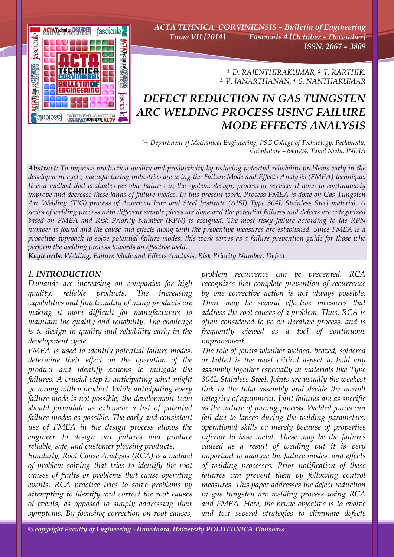

*ACTA TEHNICA CORVINIENSIS – Bulletin of Engineering Tome VII [2014] Fascicule 4 [October – December] ISSN: 2067 – 3809* 

> *1. D. RAJENTHIRAKUMAR, 2. T. KARTHIK, 3. V. JANARTHANAN, 4. S. NANTHAKUMAR*

# *DEFECT REDUCTION IN GAS TUNGSTEN ARC WELDING PROCESS USING FAILURE MODE EFFECTS ANALYSIS*

*1-4. Department of Mechanical Engineering, PSG College of Technology, Peelamedu, Coimbatore – 641004, Tamil Nadu, INDIA*

*Abstract: To improve production quality and productivity by reducing potential reliability problems early in the development cycle, manufacturing industries are using the Failure Mode and Effects Analysis (FMEA) technique. It is a method that evaluates possible failures in the system, design, process or service. It aims to continuously improve and decrease these kinds of failure modes. In this present work, Process FMEA is done on Gas Tungsten Arc Welding (TIG) process of American Iron and Steel Institute (AISI) Type 304L Stainless Steel material. A series of welding process with different sample pieces are done and the potential failures and defects are categorized based on FMEA and Risk Priority Number (RPN) is assigned. The most risky failure according to the RPN number is found and the cause and effects along with the preventive measures are established. Since FMEA is a proactive approach to solve potential failure modes, this work serves as a failure prevention guide for those who perform the welding process towards an effective weld.* 

*Keywords: Welding, Failure Mode and Effects Analysis, Risk Priority Number, Defect*

# *1. INTRODUCTION*

*Demands are increasing on companies for high quality, reliable products. The increasing capabilities and functionality of many products are making it more difficult for manufacturers to maintain the quality and reliability. The challenge is to design in quality and reliability early in the development cycle.* 

*FMEA is used to identify potential failure modes, determine their effect on the operation of the product and identify actions to mitigate the failures. A crucial step is anticipating what might go wrong with a product. While anticipating every failure mode is not possible, the development team should formulate as extensive a list of potential failure modes as possible. The early and consistent use of FMEA in the design process allows the engineer to design out failures and produce reliable, safe, and customer pleasing products.* 

*Similarly, Root Cause Analysis (RCA) is a method of problem solving that tries to identify the root causes of faults or problems that cause operating events. RCA practice tries to solve problems by attempting to identify and correct the root causes of events, as opposed to simply addressing their symptoms. By focusing correction on root causes,* 

*problem recurrence can be prevented. RCA recognizes that complete prevention of recurrence by one corrective action is not always possible. There may be several effective measures that address the root causes of a problem. Thus, RCA is often considered to be an iterative process, and is frequently viewed as a tool of continuous improvement.* 

*The role of joints whether welded, brazed, soldered or bolted is the most critical aspect to hold any assembly together especially in materials like Type 304L Stainless Steel. Joints are usually the weakest link in the total assembly and decide the overall integrity of equipment. Joint failures are as specific as the nature of joining process. Welded joints can fail due to lapses during the welding parameters, operational skills or merely because of properties inferior to base metal. These may be the failures caused as a result of welding but it is very important to analyze the failure modes, and effects of welding processes. Prior notification of these failures can prevent them by following control measures. This paper addresses the defect reduction in gas tungsten arc welding process using RCA and FMEA. Here, the prime objective is to evolve and test several strategies to eliminate defects*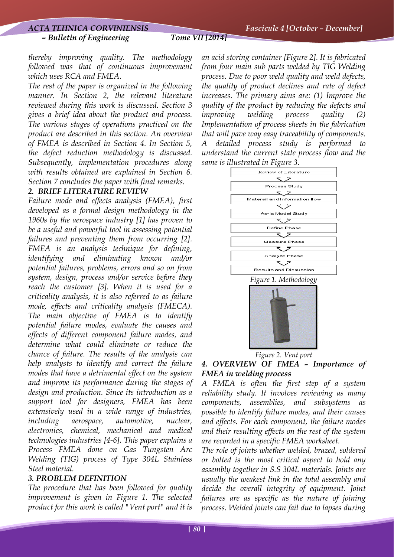#### *– Bulletin of Engineering Tome VII [2014]*

*thereby improving quality. The methodology followed was that of continuous improvement which uses RCA and FMEA.* 

*The rest of the paper is organized in the following manner. In Section 2, the relevant literature reviewed during this work is discussed. Section 3 gives a brief idea about the product and process. The various stages of operations practiced on the product are described in this section. An overview of FMEA is described in Section 4. In Section 5, the defect reduction methodology is discussed. Subsequently, implementation procedures along with results obtained are explained in Section 6. Section 7 concludes the paper with final remarks.* 

# *2. BRIEF LITERATURE REVIEW*

*Failure mode and effects analysis (FMEA), first developed as a formal design methodology in the 1960s by the aerospace industry [1] has proven to be a useful and powerful tool in assessing potential failures and preventing them from occurring [2]. FMEA is an analysis technique for defining, identifying and eliminating known and/or potential failures, problems, errors and so on from system, design, process and/or service before they reach the customer [3]. When it is used for a criticality analysis, it is also referred to as failure mode, effects and criticality analysis (FMECA). The main objective of FMEA is to identify potential failure modes, evaluate the causes and effects of different component failure modes, and determine what could eliminate or reduce the chance of failure. The results of the analysis can help analysts to identify and correct the failure modes that have a detrimental effect on the system and improve its performance during the stages of design and production. Since its introduction as a support tool for designers, FMEA has been extensively used in a wide range of industries, including aerospace, automotive, nuclear, electronics, chemical, mechanical and medical technologies industries [4-6]. This paper explains a Process FMEA done on Gas Tungsten Arc Welding (TIG) process of Type 304L Stainless Steel material.* 

# *3. PROBLEM DEFINITION*

*The procedure that has been followed for quality improvement is given in Figure 1. The selected product for this work is called "Vent port" and it is* 

*an acid storing container [Figure 2]. It is fabricated from four main sub parts welded by TIG Welding process. Due to poor weld quality and weld defects, the quality of product declines and rate of defect increases. The primary aims are: (1) Improve the quality of the product by reducing the defects and improving welding process quality (2) Implementation of process sheets in the fabrication that will pave way easy traceability of components. A detailed process study is performed to understand the current state process flow and the same is illustrated in Figure 3.* 





*Figure 2. Vent port* 

# *4. OVERVIEW OF FMEA – Importance of FMEA in welding process*

*A FMEA is often the first step of a system reliability study. It involves reviewing as many components, assemblies, and subsystems as possible to identify failure modes, and their causes and effects. For each component, the failure modes and their resulting effects on the rest of the system are recorded in a specific FMEA worksheet.* 

*The role of joints whether welded, brazed, soldered or bolted is the most critical aspect to hold any assembly together in S.S 304L materials. Joints are usually the weakest link in the total assembly and decide the overall integrity of equipment. Joint failures are as specific as the nature of joining process. Welded joints can fail due to lapses during*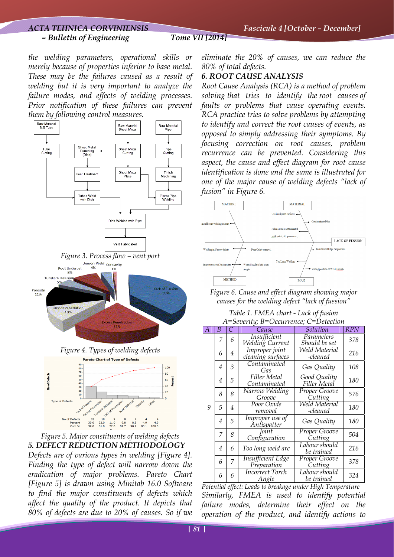# *ACTA TEHNICA CORVINIENSIS Fascicule 4 [October – December] – Bulletin of Engineering Tome VII [2014]*

*the welding parameters, operational skills or merely because of properties inferior to base metal. These may be the failures caused as a result of welding but it is very important to analyze the failure modes, and effects of welding processes. Prior notification of these failures can prevent them by following control measures.* 



*Figure 5. Major constituents of welding defects 5. DEFECT REDUCTION METHODOLOGY Defects are of various types in welding [Figure 4]. Finding the type of defect will narrow down the eradication of major problems. Pareto Chart [Figure 5] is drawn using Minitab 16.0 Software to find the major constituents of defects which affect the quality of the product. It depicts that 80% of defects are due to 20% of causes. So if we* 

*eliminate the 20% of causes, we can reduce the 80% of total defects.* 

# *6. ROOT CAUSE ANALYSIS*

*Root Cause Analysis (RCA) is a method of problem solving that tries to identify the root causes of faults or problems that cause operating events. RCA practice tries to solve problems by attempting to identify and correct the root causes of events, as opposed to simply addressing their symptoms. By focusing correction on root causes, problem recurrence can be prevented. Considering this aspect, the cause and effect diagram for root cause identification is done and the same is illustrated for one of the major cause of welding defects "lack of fusion" in Figure 6.* 



*Figure 6. Cause and effect diagram showing major causes for the welding defect "lack of fussion"* 

*Table 1. FMEA chart - Lack of fusion A=Severity; B=Occurrence; C=Detection* 

| $\overline{A}$ | B | C              | Cause                                   | Solution                         | <b>RPN</b> |
|----------------|---|----------------|-----------------------------------------|----------------------------------|------------|
| 9              | 7 | 6              | Insufficient<br>Welding Current         | Parameters<br>Should be set      | 378        |
|                | 6 | $\overline{4}$ | Improper joint<br>cleaning surfaces     | Weld Material<br>-cleaned        | 216        |
|                | 4 | 3              | Contaminated<br>Gas                     | Gas Quality                      | 108        |
|                | 4 | 5              | Filler Metal<br>Contaminated            | Good Quality<br>Filler Metal     | 180        |
|                | 8 | 8              | Narrow Welding<br>Groove                | Proper Groove<br>Cutting         | 576        |
|                | 5 | $\overline{4}$ | Poor Oxide<br>removal                   | <b>Weld Material</b><br>-cleaned | 180        |
|                | 4 | 5              | Improper use of<br>Antispatter          | Gas Quality                      | 180        |
|                | 7 | 8              | Joint<br>Configuration                  | Proper Groove<br>Cutting         | 504        |
|                | 4 | 6              | Too long weld arc                       | Labour should<br>be trained      | 216        |
|                | 6 | 7              | <b>Insufficient Edge</b><br>Preparation | Proper Groove<br>Cutting         | 378        |
|                | 6 | 6              | <b>Incorrect Torch</b><br>Angle         | Labour should<br>be trained      | 324        |

*Potential effect: Leads to breakage under High Temperature Similarly, FMEA is used to identify potential failure modes, determine their effect on the operation of the product, and identify actions to*